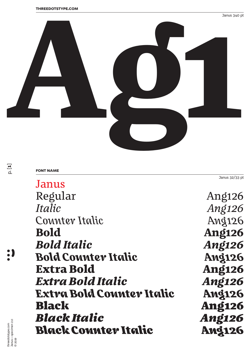

**FONT NAME**

Janus Regular Ang126 *Italic Ang126 Counter Italic Ang126* **Bold Ang126** *Bold Italic Ang126 Bold Counter Italic Ang126* **Extra Bold Ang126** *Extra Bold Italic Ang126 Extra Bold Counter Italic Ang126* Black Ang126 *Black Italic Ang126 Black Counter Italic Ang126*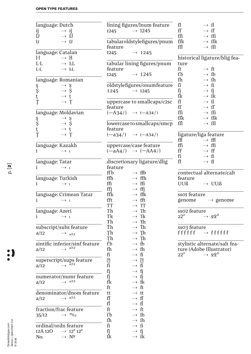| language: Dutch                                                    |           | lining figures/lnum feature         | $\mathbf{u}$        | $\longrightarrow$ 1               |
|--------------------------------------------------------------------|-----------|-------------------------------------|---------------------|-----------------------------------|
| íj<br>ÍJ<br>$\longrightarrow$ 11                                   | 1245      | $\longrightarrow$ 1245              | $\operatorname{ff}$ | $\longrightarrow$ ff              |
| $\longrightarrow$ IJ                                               |           |                                     | ffi                 | $\longrightarrow$ ffi             |
| ÍJ<br>$\longrightarrow$ $\hat{I}$ j                                |           | tabularoldstylefigures/pnum         | ffk                 | $\longrightarrow$ fik             |
|                                                                    | feature   |                                     | ffl                 | $\longrightarrow$ fil             |
| language: Catalan                                                  | 1245      | $\longrightarrow$ 1245              |                     |                                   |
| $1 - 1$<br>$\longrightarrow$ 1                                     |           |                                     |                     | historical ligature/hlig fea-     |
| $L^{\cdot}L$<br>$\longrightarrow$ EL                               |           | tabular lining figures/pnum         | ture                |                                   |
| $\mathrm{L}\text{-}\mathrm{L}$<br>$\longrightarrow$ EL             | feature   |                                     | ft                  | $\longrightarrow$ ft              |
|                                                                    | 1245      | $\longrightarrow$ 1245              | <b>f</b> b          | $\rightarrow$ fb                  |
| language: Romanian                                                 |           |                                     | ſh                  | $\longrightarrow$ fh              |
| $\longrightarrow$ $S$                                              |           | oldstylefigures/onumfeature         | fi                  | $\longrightarrow$ fi              |
| $\longrightarrow$ $\varsigma$                                      | 1245      | $\longrightarrow$ 1245              | ſj                  | $\longrightarrow$ fj              |
| s<br>s<br>t<br>T<br>$\longrightarrow$ t                            |           |                                     | ſk                  | $\rightarrow \mathbb{R}$          |
| $\longrightarrow$ T                                                |           | uppercase to smallcaps/c2sc         | $\mathbf{u}$        | $\longrightarrow$ 1               |
|                                                                    | feature   |                                     | $\operatorname{ff}$ | $\longrightarrow$ ff              |
| language: Moldavian                                                |           | $(-A34)$ $\longrightarrow$ $(-A34)$ | ffi                 | $\longrightarrow$ fi              |
| $\longrightarrow$ $S$                                              |           |                                     | ffk                 | $\longrightarrow$ fik             |
| s<br>s,<br>t,<br>T,<br>$\longrightarrow$ $\zeta$                   |           | lowercase to smallcaps/smcp         | ffl                 | $\longrightarrow$ fil             |
| $\longrightarrow$ t                                                | feature   |                                     |                     |                                   |
| $\longrightarrow$ T                                                |           | $(-a34)$ $\longrightarrow$ $(-A34)$ |                     | ligature/liga feature             |
|                                                                    |           |                                     | ffl                 | $\longrightarrow$ ffl             |
| language: Kazakh                                                   |           | uppercase/case feature              | ffi                 | $\longrightarrow$ ffi             |
| $\longrightarrow$ 1                                                |           | $(-aA4)$ $\longrightarrow$ $(-AA4)$ | $\operatorname{ff}$ | $\longrightarrow$ ff              |
|                                                                    |           |                                     | fi                  | $\longrightarrow$ fi              |
|                                                                    |           |                                     | fl                  | $\longrightarrow$ fl              |
| language: Tatar<br>İ.<br>$\longrightarrow$ 1                       | feature   | discretionary ligature/dlig         |                     |                                   |
|                                                                    | ffb       | $\rightarrow$ fib                   |                     | contectual alternate/calt         |
|                                                                    | ffh       | $\rightarrow$ ffh                   | feature             |                                   |
| language: Turkish                                                  | ffi       | $\longrightarrow$ ffi               | UUß —               | $\rightarrow$ UUß                 |
| i<br>$\longrightarrow$ 1                                           |           |                                     |                     |                                   |
|                                                                    | ffj       | $\longrightarrow$ ff                |                     |                                   |
| language: Crimean Tatar                                            | ffk       | $\rightarrow$ fik                   | ss01 feature        |                                   |
| $\longrightarrow$ 1                                                | fft       | fft                                 | genome              | - genome                          |
|                                                                    | <b>TT</b> | $\longrightarrow$ TT                |                     |                                   |
| language: Azeri                                                    | Th        | $\longrightarrow$ Th                | ss02 feature        |                                   |
| i.<br>$\longrightarrow$ 1                                          | Tk        | Tk<br>}                             | $22^{2}$            | $\longrightarrow$ 22 <sup>2</sup> |
|                                                                    | Ŧh        | Ŧh<br>}                             |                     |                                   |
| subscript/subs feature                                             | Ťh        | Ťh<br>}                             | ss03 feature        |                                   |
| a/12<br>$\longrightarrow$ a/12                                     | Ţh        | Ţh<br>}                             | ffffff              | $\rightarrow$ ffffff              |
|                                                                    | Ţh        | Th<br>}                             |                     |                                   |
| sintific inferior/sinf feature                                     | fb        | fb<br>)                             |                     | stylistic alternate/salt fea-     |
| a/12<br>$\dots$<br>a/12                                            | fh        | fh<br>}                             |                     | ture (Adobe Illustrator)          |
|                                                                    | fí        | fí<br>}                             | $22^{2}$            | $\rightarrow$ 22 <sup>2</sup>     |
| superscript/sups feature                                           |           | }                                   |                     |                                   |
| a/12<br>a/12<br>$\cdots$                                           | fí        | fí<br>}                             |                     |                                   |
|                                                                    | fį<br>fj  | fi<br>}                             |                     |                                   |
| numerator/numr feature                                             |           | fi<br>}                             |                     |                                   |
| $\cdots$ a/12<br>a/12                                              | fk        | fk<br>}                             |                     |                                   |
|                                                                    | ft        | ft<br>}                             |                     |                                   |
| denominator/dnom feature                                           | tt        | ----> tt                            |                     |                                   |
| $\cdots$ a/12<br>a/12                                              | fľ        | $\longrightarrow$ f                 |                     |                                   |
|                                                                    | fĺ        | $f\!I$<br>}                         |                     |                                   |
| fraction/frac feature                                              | ſt        | -ft<br>}                            |                     |                                   |
| $\quad \  \  \cdots \rightarrow \quad \, ^{35}\!\!/_\!12$<br>35/12 | ſb        | -fb<br>}                            |                     |                                   |
|                                                                    | ſh        | ſh<br>}                             |                     |                                   |
| ordinal/ordn feature                                               | ſi        | $\mathbf f$<br>}                    |                     |                                   |
| $\longrightarrow 12^a 12^o$<br>12A 12O                             | ſj        | $\mathbf f$<br>}                    |                     |                                   |
| No.<br>$\longrightarrow N^{\Omega}$                                | ſk        | $\longrightarrow \mathbb{R}$        |                     |                                   |
|                                                                    |           |                                     |                     |                                   |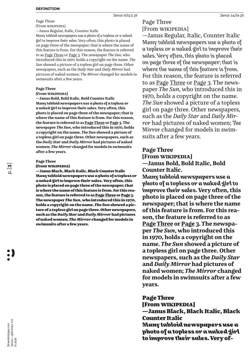# Page Three

[From Wikipedia]

—Janus Regular, Italic, Counter Italic

*Many tabloid newspapers use a photo of a topless or a naked girl to improve their sales.* Very often, this photo is placed on page three of the newspaper; that is where the name of this feature is from. For this reason, the feature is referred to as Page Three or Page 3. The newspaper *The Sun*, who introduced this in 1970, holds a copyright on the name. *The Sun* showed a picture of a topless girl on page three. Other newspapers, such as the *Daily Star* and *Daily Mirror* had pictures of naked women; *The Mirror* changed for models in swimsuits after a few years.

### **Page Three**

### **[From Wikipedia]**

**—Janus Bold, Bold Italic, Bold Counter Italic** *Many tabloid newspapers use a photo of a topless or a naked girl to improve their sales.* **Very often, this photo is placed on page three of the newspaper; that is where the name of this feature is from. For this reason, the feature is referred to as Page Three or Page 3. The newspaper** *The Sun***, who introduced this in 1970, holds a copyright on the name.** *The Sun* **showed a picture of a topless girl on page three. Other newspapers, such as the** *Daily Star* **and** *Daily Mirror* **had pictures of naked women;** *The Mirror* **changed for models in swimsuits after a few years.**

#### **Page Three**

#### [From Wikipedia]

—Janus Black, Black Italic, Black Counter Italic *Many tabloid newspapers use a photo of a topless or a naked girl to improve their sales*. Very often, this photo is placed on page three of the newspaper; that is where the name of this feature is from. For this reason, the feature is referred to as Page Three or Page 3. The newspaper *The Sun*, who introduced this in 1970, holds a copyright on the name. *The Sun* showed a picture of a topless girl on page three. Other newspapers, such as the *Daily Star* and *Daily Mirror* had pictures of naked women; *The Mirror* changed for models in swimsuits after a few years.

# Page Three [From Wikipedia]

—Janus Regular, Italic, Counter Italic *Many tabloid newspapers use a photo of a topless or a naked girl to improve their sales. Very often, this photo is placed on page three of the newspaper; that is where the name of this feature is from.* For this reason, the feature is referred to as Page Three or Page 3. The newspaper *The Sun*, who introduced this in 1970, holds a copyright on the name. *The Sun* showed a picture of a topless girl on page three. Other newspapers, such as the *Daily Star* and *Daily Mirror* had pictures of naked women; *The Mirror* changed for models in swimsuits after a few years.

# **Page Three [From Wikipedia] —Janus Bold, Bold Italic, Bold Counter Italic.**

*Many tabloid newspapers use a photo of a topless or a naked girl to improve their sales.* **Very often, this photo is placed on page three of the newspaper; that is where the name of this feature is from. For this reason, the feature is referred to as Page Three or Page 3. The newspaper** *The Sun***, who introduced this in 1970, holds a copyright on the name.** *The Sun* **showed a picture of a topless girl on page three. Other newspapers, such as the** *Daily Star* **and** *Daily Mirror* **had pictures of naked women;** *The Mirror* **changed for models in swimsuits after a few years.**

### Page Three

[From Wikipedia] —Janus Black, Black Italic, Black Counter Italic *Many tabloid newspapers use a photo of a topless or a naked girl to improve their sales.* Very of-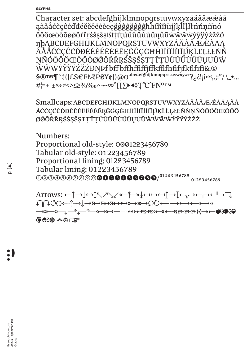Character set: abcdefghijklmnopqrstuvwxyzáăâäææàā ąãååćčçĉċďđéĕěêëèèēęğĝġġğĝġġħĥíĭĩïìĩijĵķĺľḷłŀńňņñ'nó ŎÔÖœÒŐŌøøÕŕřŗśšşŜşßŧţtţúŭûüuűűūyůũŴŴŴŴŷŷÿýźžżð nbABCDEFGHIJKLMNOPQRSTUVWXYZÁĂÂÄÆÉÀĀĄ ÃÅÁĆČÇĈĊĎĐÉĔĔÊËĖĒĒĒĞĜĢĠĦĤÍĬĨĨĬĨĨĮĴĶĹĽĻŁĿŃŇ ŅÑÓŎŎÖŒÒŐŌØŐŐŔŘŖŚŠŞŜȘŦŢŤŢÚŬŨŮŮŰŪŲŮŨŴ ŴŴŴŶŶŸŶŹŽŻĐŊÞfbffbffhfffffkfflfhfifjfkflfīfi&©-<br>\$®™¶†‡{[£\$€F₺₹₽₴¥¢]}@O<sup>abcdefghijkmopqrstuvwxyz\*</sup>?¿¿!¡i««,.;:"/|\\_•... #|=+-±×÷≠<>≤≥%%o^¬~∞°∏∑▶◀◊T°C°FNº™

Smallcaps:ABCDEFGHIJKLMNOPQRSTUVWXYZÁĂÂÄÆÉÀĀĄÃÅ *Å*ĆČÇĈĊĎĐÉĔĔÊĖĖĖĒĘĞĜĢĠĦĤĨĬĨĬĬĨĨĮĴĶĹĽĻŁĿŃŇŅÑÓŎÔÖŒÒŐŌ ØŐŐŔŘŖŚŠŞŜŞŦŢŤŢÚŬÛÜŮŮŨŲŮŨŴŴŴŴŶŶŸŹŽŻ

Numbers: Proportional old-style: 0001223456789 Tabular old-style: 01223456789 Proportional lining: 01223456789 Tabular lining: 01223456789  $0000000000000000000000/01223456789$  01223456789

Arrows: ←↑→↓←↑↖↗↘↙←↑→↓↓;→←↑→↑↓←↑←←←→← **<u></u>** 有只缘 土吉正字